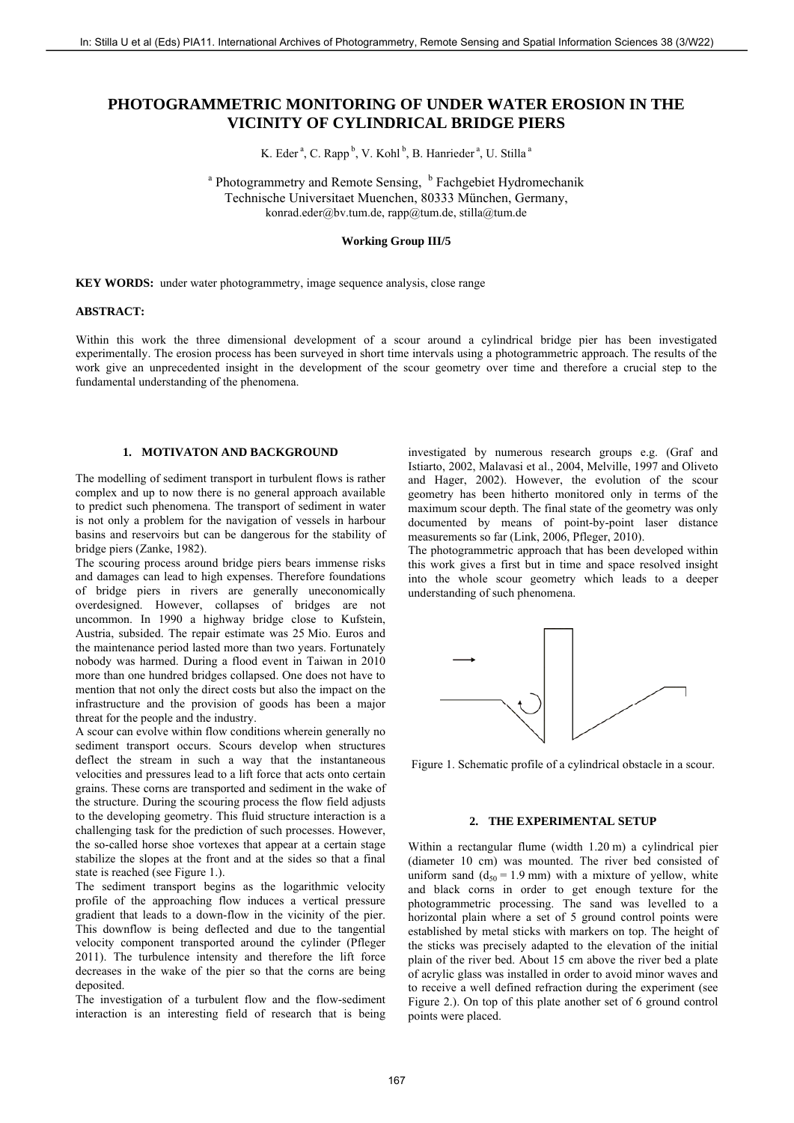# **PHOTOGRAMMETRIC MONITORING OF UNDER WATER EROSION IN THE VICINITY OF CYLINDRICAL BRIDGE PIERS**

K. Eder<sup>a</sup>, C. Rapp<sup>b</sup>, V. Kohl<sup>b</sup>, B. Hanrieder<sup>a</sup>, U. Stilla<sup>a</sup>

<sup>a</sup> Photogrammetry and Remote Sensing, <sup>b</sup> Fachgebiet Hydromechanik Technische Universitaet Muenchen, 80333 München, Germany, konrad.eder@bv.tum.de, rapp@tum.de, stilla@tum.de

# **Working Group III/5**

**KEY WORDS:** under water photogrammetry, image sequence analysis, close range

# **ABSTRACT:**

Within this work the three dimensional development of a scour around a cylindrical bridge pier has been investigated experimentally. The erosion process has been surveyed in short time intervals using a photogrammetric approach. The results of the work give an unprecedented insight in the development of the scour geometry over time and therefore a crucial step to the fundamental understanding of the phenomena.

# **1. MOTIVATON AND BACKGROUND**

The modelling of sediment transport in turbulent flows is rather complex and up to now there is no general approach available to predict such phenomena. The transport of sediment in water is not only a problem for the navigation of vessels in harbour basins and reservoirs but can be dangerous for the stability of bridge piers (Zanke, 1982).

The scouring process around bridge piers bears immense risks and damages can lead to high expenses. Therefore foundations of bridge piers in rivers are generally uneconomically overdesigned. However, collapses of bridges are not uncommon. In 1990 a highway bridge close to Kufstein, Austria, subsided. The repair estimate was 25 Mio. Euros and the maintenance period lasted more than two years. Fortunately nobody was harmed. During a flood event in Taiwan in 2010 more than one hundred bridges collapsed. One does not have to mention that not only the direct costs but also the impact on the infrastructure and the provision of goods has been a major threat for the people and the industry.

A scour can evolve within flow conditions wherein generally no sediment transport occurs. Scours develop when structures deflect the stream in such a way that the instantaneous velocities and pressures lead to a lift force that acts onto certain grains. These corns are transported and sediment in the wake of the structure. During the scouring process the flow field adjusts to the developing geometry. This fluid structure interaction is a challenging task for the prediction of such processes. However, the so-called horse shoe vortexes that appear at a certain stage stabilize the slopes at the front and at the sides so that a final state is reached (see Figure 1.).

The sediment transport begins as the logarithmic velocity profile of the approaching flow induces a vertical pressure gradient that leads to a down-flow in the vicinity of the pier. This downflow is being deflected and due to the tangential velocity component transported around the cylinder (Pfleger 2011). The turbulence intensity and therefore the lift force decreases in the wake of the pier so that the corns are being deposited.

The investigation of a turbulent flow and the flow-sediment interaction is an interesting field of research that is being

investigated by numerous research groups e.g. (Graf and Istiarto, 2002, Malavasi et al., 2004, Melville, 1997 and Oliveto and Hager, 2002). However, the evolution of the scour geometry has been hitherto monitored only in terms of the maximum scour depth. The final state of the geometry was only documented by means of point-by-point laser distance measurements so far (Link, 2006, Pfleger, 2010).

The photogrammetric approach that has been developed within this work gives a first but in time and space resolved insight into the whole scour geometry which leads to a deeper understanding of such phenomena.



Figure 1. Schematic profile of a cylindrical obstacle in a scour.

#### **2. THE EXPERIMENTAL SETUP**

Within a rectangular flume (width 1.20 m) a cylindrical pier (diameter 10 cm) was mounted. The river bed consisted of uniform sand  $(d_{50} = 1.9$  mm) with a mixture of yellow, white and black corns in order to get enough texture for the photogrammetric processing. The sand was levelled to a horizontal plain where a set of 5 ground control points were established by metal sticks with markers on top. The height of the sticks was precisely adapted to the elevation of the initial plain of the river bed. About 15 cm above the river bed a plate of acrylic glass was installed in order to avoid minor waves and to receive a well defined refraction during the experiment (see Figure 2.). On top of this plate another set of 6 ground control points were placed. 167 ISBN 0.681-101451919411 international Action of Photographeric Sensing Archives of Photographeric Sensing Archives of Photographeric Sensing Photographeric Sensing Photographeric Sensing Photographeric Sensing Photog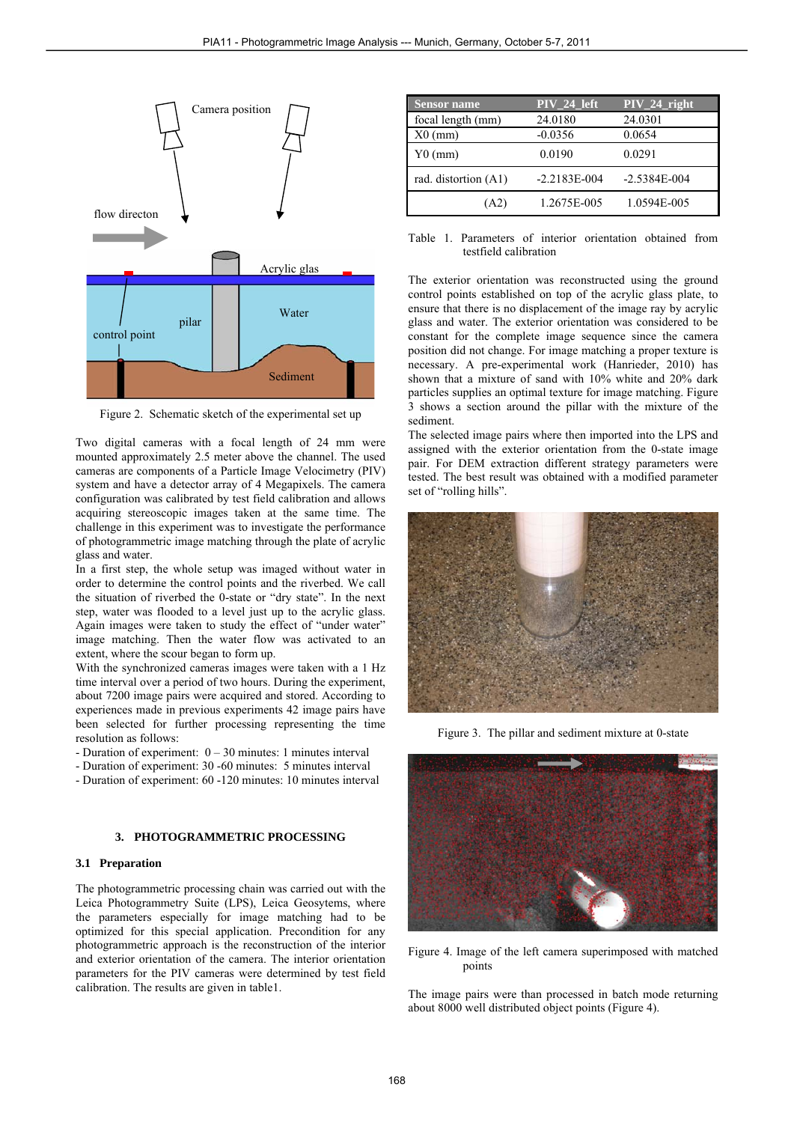

Figure 2. Schematic sketch of the experimental set up

Two digital cameras with a focal length of 24 mm were mounted approximately 2.5 meter above the channel. The used cameras are components of a Particle Image Velocimetry (PIV) system and have a detector array of 4 Megapixels. The camera configuration was calibrated by test field calibration and allows acquiring stereoscopic images taken at the same time. The challenge in this experiment was to investigate the performance of photogrammetric image matching through the plate of acrylic glass and water.

In a first step, the whole setup was imaged without water in order to determine the control points and the riverbed. We call the situation of riverbed the 0-state or "dry state". In the next step, water was flooded to a level just up to the acrylic glass. Again images were taken to study the effect of "under water" image matching. Then the water flow was activated to an extent, where the scour began to form up.

With the synchronized cameras images were taken with a 1 Hz time interval over a period of two hours. During the experiment, about 7200 image pairs were acquired and stored. According to experiences made in previous experiments 42 image pairs have been selected for further processing representing the time resolution as follows:

- Duration of experiment: 0 30 minutes: 1 minutes interval
- Duration of experiment: 30 -60 minutes: 5 minutes interval
- Duration of experiment: 60 -120 minutes: 10 minutes interval

# **3. PHOTOGRAMMETRIC PROCESSING**

#### **3.1 Preparation**

The photogrammetric processing chain was carried out with the Leica Photogrammetry Suite (LPS), Leica Geosytems, where the parameters especially for image matching had to be optimized for this special application. Precondition for any photogrammetric approach is the reconstruction of the interior and exterior orientation of the camera. The interior orientation parameters for the PIV cameras were determined by test field calibration. The results are given in table1.

| <b>Sensor name</b>   | PIV_24_left      | $PIV_24$ right   |
|----------------------|------------------|------------------|
| focal length (mm)    | 24.0180          | 24.0301          |
| $X0$ (mm)            | $-0.0356$        | 0.0654           |
| $Y0$ (mm)            | 0.0190           | 0.0291           |
| rad. distortion (A1) | $-2.2183E - 004$ | $-2.5384E - 004$ |
| (A2)                 | 1.2675E-005      | 1.0594E-005      |

Table 1. Parameters of interior orientation obtained from testfield calibration

The exterior orientation was reconstructed using the ground control points established on top of the acrylic glass plate, to ensure that there is no displacement of the image ray by acrylic glass and water. The exterior orientation was considered to be constant for the complete image sequence since the camera position did not change. For image matching a proper texture is necessary. A pre-experimental work (Hanrieder, 2010) has shown that a mixture of sand with 10% white and 20% dark particles supplies an optimal texture for image matching. Figure 3 shows a section around the pillar with the mixture of the sediment.

The selected image pairs where then imported into the LPS and assigned with the exterior orientation from the 0-state image pair. For DEM extraction different strategy parameters were tested. The best result was obtained with a modified parameter set of "rolling hills".



Figure 3. The pillar and sediment mixture at 0-state



Figure 4. Image of the left camera superimposed with matched points

The image pairs were than processed in batch mode returning about 8000 well distributed object points (Figure 4).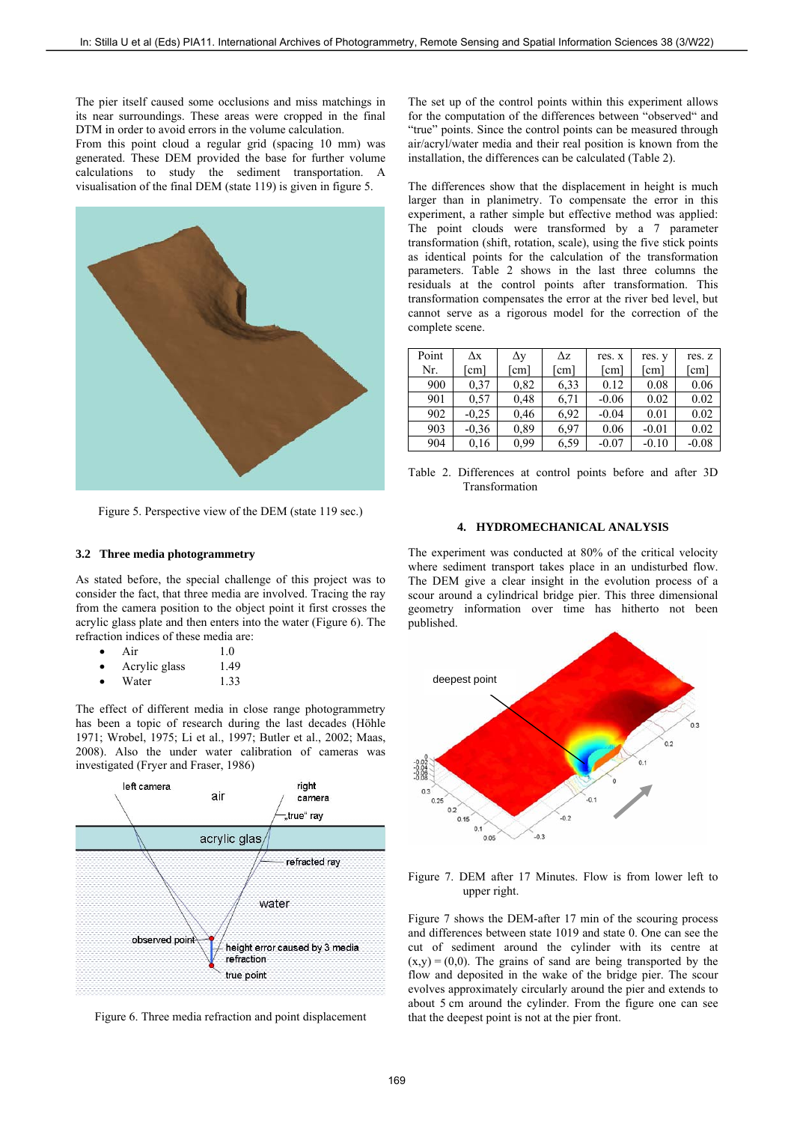The pier itself caused some occlusions and miss matchings in its near surroundings. These areas were cropped in the final DTM in order to avoid errors in the volume calculation.

From this point cloud a regular grid (spacing 10 mm) was generated. These DEM provided the base for further volume calculations to study the sediment transportation. A visualisation of the final DEM (state 119) is given in figure 5.



Figure 5. Perspective view of the DEM (state 119 sec.)

## **3.2 Three media photogrammetry**

As stated before, the special challenge of this project was to consider the fact, that three media are involved. Tracing the ray from the camera position to the object point it first crosses the acrylic glass plate and then enters into the water (Figure 6). The refraction indices of these media are:

- Air 1.0
- Acrylic glass 1.49
- Water 1.33

The effect of different media in close range photogrammetry has been a topic of research during the last decades (Höhle 1971; Wrobel, 1975; Li et al., 1997; Butler et al., 2002; Maas, 2008). Also the under water calibration of cameras was investigated (Fryer and Fraser, 1986)



Figure 6. Three media refraction and point displacement

The set up of the control points within this experiment allows for the computation of the differences between "observed" and "true" points. Since the control points can be measured through air/acryl/water media and their real position is known from the installation, the differences can be calculated (Table 2).

The differences show that the displacement in height is much larger than in planimetry. To compensate the error in this experiment, a rather simple but effective method was applied: The point clouds were transformed by a 7 parameter transformation (shift, rotation, scale), using the five stick points as identical points for the calculation of the transformation parameters. Table 2 shows in the last three columns the residuals at the control points after transformation. This transformation compensates the error at the river bed level, but cannot serve as a rigorous model for the correction of the complete scene.

| Point | Δх      | Δv            | Δz                     | res. x  | res. y  | res. z  |
|-------|---------|---------------|------------------------|---------|---------|---------|
| Nr.   | cm]     | $\mathsf{cm}$ | $\lfloor$ cm $\rfloor$ | [cm]    | cm      | [cm]    |
| 900   | 0.37    | 0,82          | 6.33                   | 0.12    | 0.08    | 0.06    |
| 901   | 0.57    | 0,48          | 6.71                   | $-0.06$ | 0.02    | 0.02    |
| 902   | $-0.25$ | 0,46          | 6.92                   | $-0.04$ | 0.01    | 0.02    |
| 903   | $-0.36$ | 0.89          | 6.97                   | 0.06    | $-0.01$ | 0.02    |
| 904   | 0.16    | 0.99          | 6.59                   | $-0.07$ | $-0.10$ | $-0.08$ |

Table 2. Differences at control points before and after 3D Transformation

# **4. HYDROMECHANICAL ANALYSIS**

The experiment was conducted at 80% of the critical velocity where sediment transport takes place in an undisturbed flow. The DEM give a clear insight in the evolution process of a scour around a cylindrical bridge pier. This three dimensional geometry information over time has hitherto not been published.



Figure 7. DEM after 17 Minutes. Flow is from lower left to upper right.

Figure 7 shows the DEM-after 17 min of the scouring process and differences between state 1019 and state 0. One can see the cut of sediment around the cylinder with its centre at  $(x,y) = (0,0)$ . The grains of sand are being transported by the flow and deposited in the wake of the bridge pier. The scour evolves approximately circularly around the pier and extends to about 5 cm around the cylinder. From the figure one can see that the deepest point is not at the pier front.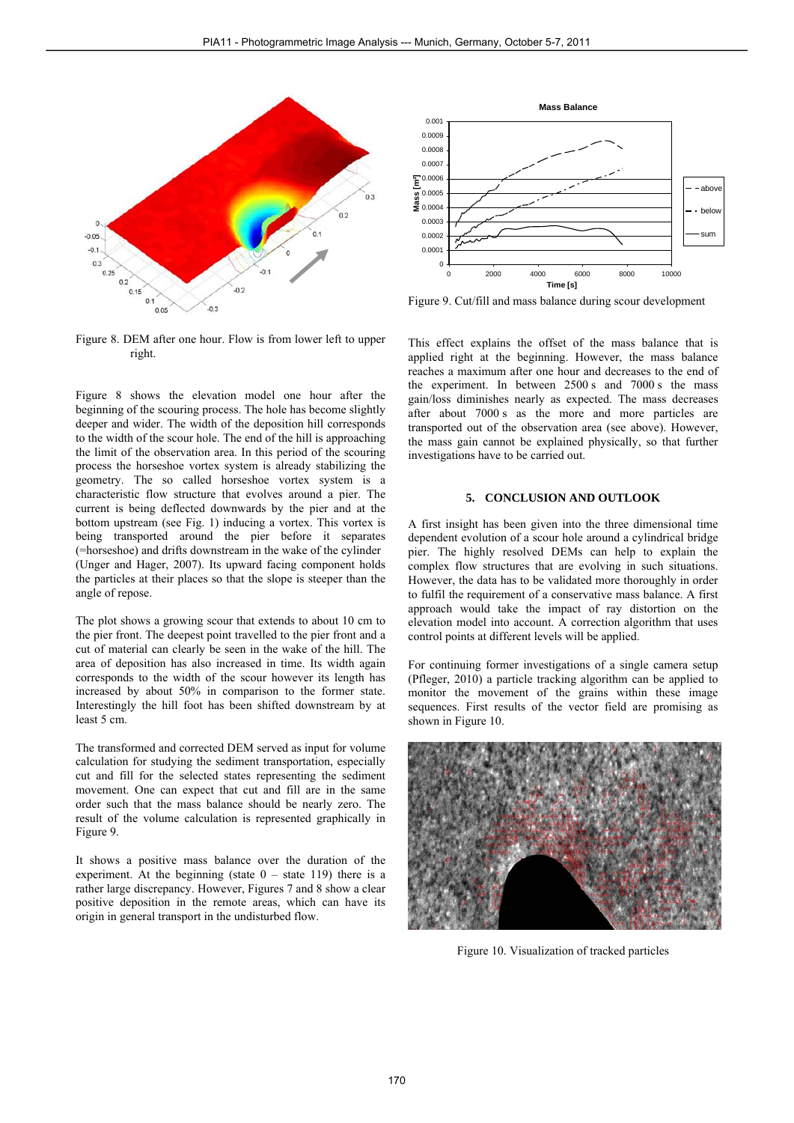

Figure 8. DEM after one hour. Flow is from lower left to upper right.

Figure 8 shows the elevation model one hour after the beginning of the scouring process. The hole has become slightly deeper and wider. The width of the deposition hill corresponds to the width of the scour hole. The end of the hill is approaching the limit of the observation area. In this period of the scouring process the horseshoe vortex system is already stabilizing the geometry. The so called horseshoe vortex system is a characteristic flow structure that evolves around a pier. The current is being deflected downwards by the pier and at the bottom upstream (see Fig. 1) inducing a vortex. This vortex is being transported around the pier before it separates (=horseshoe) and drifts downstream in the wake of the cylinder (Unger and Hager, 2007). Its upward facing component holds the particles at their places so that the slope is steeper than the angle of repose.

The plot shows a growing scour that extends to about 10 cm to the pier front. The deepest point travelled to the pier front and a cut of material can clearly be seen in the wake of the hill. The area of deposition has also increased in time. Its width again corresponds to the width of the scour however its length has increased by about 50% in comparison to the former state. Interestingly the hill foot has been shifted downstream by at least 5 cm.

The transformed and corrected DEM served as input for volume calculation for studying the sediment transportation, especially cut and fill for the selected states representing the sediment movement. One can expect that cut and fill are in the same order such that the mass balance should be nearly zero. The result of the volume calculation is represented graphically in Figure 9.

It shows a positive mass balance over the duration of the experiment. At the beginning (state  $0 -$  state 119) there is a rather large discrepancy. However, Figures 7 and 8 show a clear positive deposition in the remote areas, which can have its origin in general transport in the undisturbed flow.



Figure 9. Cut/fill and mass balance during scour development

This effect explains the offset of the mass balance that is applied right at the beginning. However, the mass balance reaches a maximum after one hour and decreases to the end of the experiment. In between 2500 s and 7000 s the mass gain/loss diminishes nearly as expected. The mass decreases after about 7000 s as the more and more particles are transported out of the observation area (see above). However, the mass gain cannot be explained physically, so that further investigations have to be carried out.

# **5. CONCLUSION AND OUTLOOK**

A first insight has been given into the three dimensional time dependent evolution of a scour hole around a cylindrical bridge pier. The highly resolved DEMs can help to explain the complex flow structures that are evolving in such situations. However, the data has to be validated more thoroughly in order to fulfil the requirement of a conservative mass balance. A first approach would take the impact of ray distortion on the elevation model into account. A correction algorithm that uses control points at different levels will be applied.

For continuing former investigations of a single camera setup (Pfleger, 2010) a particle tracking algorithm can be applied to monitor the movement of the grains within these image sequences. First results of the vector field are promising as shown in Figure 10.



Figure 10. Visualization of tracked particles